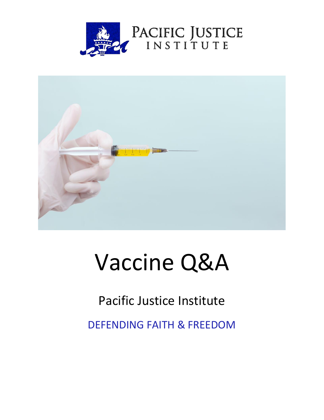



# Vaccine Q&A

# Pacific Justice Institute

DEFENDING FAITH & FREEDOM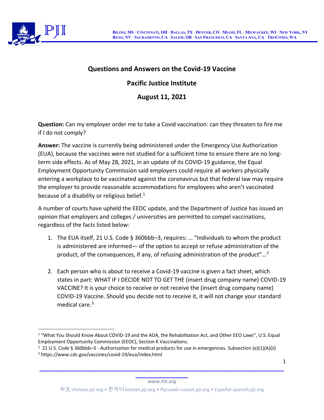

# **Questions and Answers on the Covid-19 Vaccine**

# **Pacific Justice Institute**

**August 11, 2021**

**Question:** Can my employer order me to take a Covid vaccination: can they threaten to fire me if I do not comply?

**Answer:** The vaccine is currently being administered under the Emergency Use Authorization (EUA), because the vaccines were not studied for a sufficient time to ensure there are no longterm side effects. As of May 28, 2021, in an update of its COVID-19 guidance, the Equal Employment Opportunity Commission said employers could require all workers physically entering a workplace to be vaccinated against the coronavirus but that federal law may require the employer to provide reasonable accommodations for employees who aren't vaccinated because of a disability or religious belief. $1$ 

A number of courts have upheld the EEOC update, and the Department of Justice has issued an opinion that employers and colleges / universities are permitted to compel vaccinations, regardless of the facts listed below:

- 1. The EUA itself, 21 U.S. Code § 360bbb–3, requires: … "Individuals to whom the product is administered are informed— of the option to accept or refuse administration of the product, of the consequences, if any, of refusing administration of the product"...<sup>2</sup>
- 2. Each person who is about to receive a Covid-19 vaccine is given a fact sheet, which states in part: WHAT IF I DECIDE NOT TO GET THE (insert drug company name) COVID-19 VACCINE? It is your choice to receive or not receive the (insert drug company name) COVID-19 Vaccine. Should you decide not to receive it, it will not change your standard medical care.<sup>3</sup>

1

#### **\_\_\_\_\_\_\_\_\_\_\_\_\_\_\_** *www.PJI.org*

<sup>1</sup> "What You Should Know About COVID-19 and the ADA, the Rehabilitation Act, and Other EEO Laws", U.S. Equal Employment Opportunity Commission (EEOC), Section K Vaccinations.

<sup>&</sup>lt;sup>2</sup> 21 U.S. Code § 360bbb–3 - Authorization for medical products for use in emergencies. Subsection (e)(1)(A)(ii) <sup>3</sup> https://www.cdc.gov/vaccines/covid-19/eua/index.html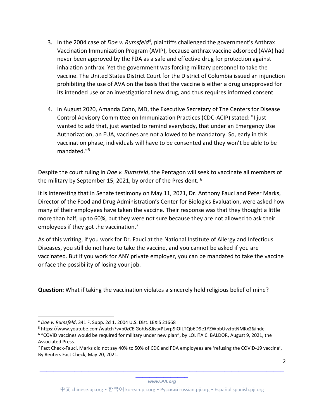- 3. In the 2004 case of *Doe v. Rumsfeld<sup>4</sup>*, plaintiffs challenged the government's Anthrax Vaccination Immunization Program (AVIP), because anthrax vaccine adsorbed (AVA) had never been approved by the FDA as a safe and effective drug for protection against inhalation anthrax. Yet the government was forcing military personnel to take the vaccine. The United States District Court for the District of Columbia issued an injunction prohibiting the use of AVA on the basis that the vaccine is either a drug unapproved for its intended use or an investigational new drug, and thus requires informed consent.
- 4. In August 2020, Amanda Cohn, MD, the Executive Secretary of The Centers for Disease Control Advisory Committee on Immunization Practices (CDC-ACIP) stated: "I just wanted to add that, just wanted to remind everybody, that under an Emergency Use Authorization, an EUA, vaccines are not allowed to be mandatory. So, early in this vaccination phase, individuals will have to be consented and they won't be able to be mandated."<sup>5</sup>

Despite the court ruling in *Doe v. Rumsfeld*, the Pentagon will seek to vaccinate all members of the military by September 15, 2021, by order of the President. <sup>6</sup>

It is interesting that in Senate testimony on May 11, 2021, Dr. Anthony Fauci and Peter Marks, Director of the Food and Drug Administration's Center for Biologics Evaluation, were asked how many of their employees have taken the vaccine. Their response was that they thought a little more than half, up to 60%, but they were not sure because they are not allowed to ask their employees if they got the vaccination.<sup>7</sup>

As of this writing, if you work for Dr. Fauci at the National Institute of Allergy and Infectious Diseases, you still do not have to take the vaccine, and you cannot be asked if you are vaccinated. But if you work for ANY private employer, you can be mandated to take the vaccine or face the possibility of losing your job.

**Question:** What if taking the vaccination violates a sincerely held religious belief of mine?

2

<sup>4</sup> *Doe v. Rumsfeld*, 341 F. Supp. 2d 1, 2004 U.S. Dist. LEXIS 21668

<sup>5</sup> https://www.youtube.com/watch?v=p0zCEiGohJs&list=PLvrp9iOILTQb6D9e1YZWpbUvzfptNMKx2&inde

<sup>6</sup> "COVID vaccines would be required for military under new plan", by LOLITA C. BALDOR, August 9, 2021, the Associated Press.

<sup>7</sup> Fact Check-Fauci, Marks did not say 40% to 50% of CDC and FDA employees are 'refusing the COVID-19 vaccine', By Reuters Fact Check, May 20, 2021.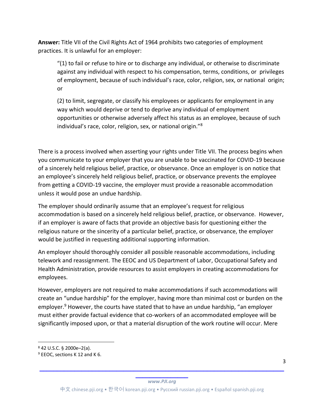**Answer:** Title VII of the Civil Rights Act of 1964 prohibits two categories of employment practices. It is unlawful for an employer:

"(1) to fail or refuse to hire or to discharge any individual, or otherwise to discriminate against any individual with respect to his compensation, terms, conditions, or privileges of employment, because of such individual's race, color, religion, sex, or national origin; or

(2) to limit, segregate, or classify his employees or applicants for employment in any way which would deprive or tend to deprive any individual of employment opportunities or otherwise adversely affect his status as an employee, because of such individual's race, color, religion, sex, or national origin."<sup>8</sup>

There is a process involved when asserting your rights under Title VII. The process begins when you communicate to your employer that you are unable to be vaccinated for COVID-19 because of a sincerely held religious belief, practice, or observance. Once an employer is on notice that an employee's sincerely held religious belief, practice, or observance prevents the employee from getting a COVID-19 vaccine, the employer must provide a reasonable accommodation unless it would pose an undue hardship.

The employer should ordinarily assume that an employee's request for religious accommodation is based on a sincerely held religious belief, practice, or observance. However, if an employer is aware of facts that provide an objective basis for questioning either the religious nature or the sincerity of a particular belief, practice, or observance, the employer would be justified in requesting additional supporting information.

An employer should thoroughly consider all possible reasonable accommodations, including telework and reassignment. The EEOC and US Department of Labor, Occupational Safety and Health Administration, provide resources to assist employers in creating accommodations for employees.

However, employers are not required to make accommodations if such accommodations will create an "undue hardship" for the employer, having more than minimal cost or burden on the employer.<sup>9</sup> However, the courts have stated that to have an undue hardship, "an employer must either provide factual evidence that co-workers of an accommodated employee will be significantly imposed upon, or that a material disruption of the work routine will occur. Mere

<sup>8</sup> 42 U.S.C. § 2000e–2(a).

<sup>&</sup>lt;sup>9</sup> EEOC, sections K 12 and K 6.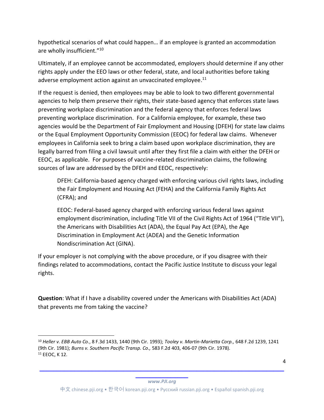hypothetical scenarios of what could happen… if an employee is granted an accommodation are wholly insufficient."<sup>10</sup>

Ultimately, if an employee cannot be accommodated, employers should determine if any other rights apply under the EEO laws or other federal, state, and local authorities before taking adverse employment action against an unvaccinated employee.<sup>11</sup>

If the request is denied, then employees may be able to look to two different governmental agencies to help them preserve their rights, their state-based agency that enforces state laws preventing workplace discrimination and the federal agency that enforces federal laws preventing workplace discrimination. For a California employee, for example, these two agencies would be the Department of Fair Employment and Housing (DFEH) for state law claims or the Equal Employment Opportunity Commission (EEOC) for federal law claims. Whenever employees in California seek to bring a claim based upon workplace discrimination, they are legally barred from filing a civil lawsuit until after they first file a claim with either the DFEH or EEOC, as applicable. For purposes of vaccine-related discrimination claims, the following sources of law are addressed by the DFEH and EEOC, respectively:

DFEH: California-based agency charged with enforcing various civil rights laws, including the Fair Employment and Housing Act (FEHA) and the California Family Rights Act (CFRA); and

EEOC: Federal-based agency charged with enforcing various federal laws against employment discrimination, including Title VII of the Civil Rights Act of 1964 ("Title VII"), the Americans with Disabilities Act (ADA), the Equal Pay Act (EPA), the Age Discrimination in Employment Act (ADEA) and the Genetic Information Nondiscrimination Act (GINA).

If your employer is not complying with the above procedure, or if you disagree with their findings related to accommodations, contact the Pacific Justice Institute to discuss your legal rights.

**Question**: What if I have a disability covered under the Americans with Disabilities Act (ADA) that prevents me from taking the vaccine?

**\_\_\_\_\_\_\_\_\_\_\_\_\_\_\_** *www.PJI.org*

<sup>10</sup> *Heller v. EBB Auto Co.*, 8 F.3d 1433, 1440 (9th Cir. 1993); *Tooley v. Martin-Marietta Corp.,* 648 F.2d 1239, 1241 (9th Cir. 1981); *Burns v. Southern Pacific Transp. Co.,* 583 F.2d 403, 406-07 (9th Cir. 1978). <sup>11</sup> EEOC, K 12.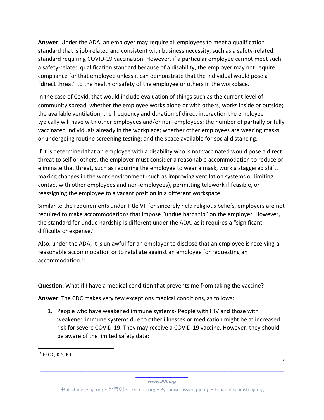**Answer**: Under the ADA, an employer may require all employees to meet a qualification standard that is job-related and consistent with business necessity, such as a safety-related standard requiring COVID-19 vaccination. However, if a particular employee cannot meet such a safety-related qualification standard because of a disability, the employer may not require compliance for that employee unless it can demonstrate that the individual would pose a "direct threat" to the health or safety of the employee or others in the workplace.

In the case of Covid, that would include evaluation of things such as the current level of community spread, whether the employee works alone or with others, works inside or outside; the available ventilation; the frequency and duration of direct interaction the employee typically will have with other employees and/or non-employees; the number of partially or fully vaccinated individuals already in the workplace; whether other employees are wearing masks or undergoing routine screening testing; and the space available for social distancing.

If it is determined that an employee with a disability who is not vaccinated would pose a direct threat to self or others, the employer must consider a reasonable accommodation to reduce or eliminate that threat, such as requiring the employee to wear a mask, work a staggered shift, making changes in the work environment (such as improving ventilation systems or limiting contact with other employees and non-employees), permitting telework if feasible, or reassigning the employee to a vacant position in a different workspace.

Similar to the requirements under Title VII for sincerely held religious beliefs, employers are not required to make accommodations that impose "undue hardship" on the employer. However, the standard for undue hardship is different under the ADA, as it requires a "significant difficulty or expense."

Also, under the ADA, it is unlawful for an employer to disclose that an employee is receiving a reasonable accommodation or to retaliate against an employee for requesting an accommodation.12

**Question**: What if I have a medical condition that prevents me from taking the vaccine?

**Answer**: The CDC makes very few exceptions medical conditions, as follows:

1. People who have weakened immune systems- People with HIV and those with weakened immune systems due to other illnesses or medication might be at increased risk for severe COVID-19. They may receive a COVID-19 vaccine. However, they should be aware of the limited safety data:

**\_\_\_\_\_\_\_\_\_\_\_\_\_\_\_\_\_\_\_\_\_\_\_\_\_\_\_\_\_\_\_\_\_\_\_\_\_\_\_\_\_\_\_\_\_\_\_\_\_\_\_\_\_\_\_\_\_\_\_\_\_\_\_\_\_\_\_\_\_\_**

<sup>12</sup> EEOC, K 5, K 6.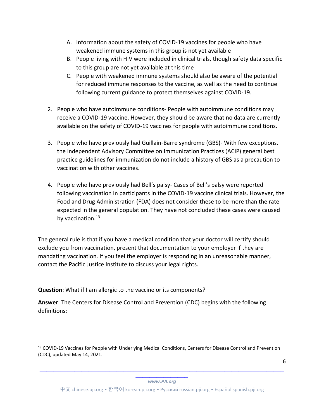- A. Information about the safety of COVID-19 vaccines for people who have weakened immune systems in this group is not yet available
- B. People living with HIV were included in clinical trials, though safety data specific to this group are not yet available at this time
- C. People with weakened immune systems should also be aware of the potential for reduced immune responses to the vaccine, as well as the need to continue following current guidance to protect themselves against COVID-19.
- 2. People who have autoimmune conditions- People with autoimmune conditions may receive a COVID-19 vaccine. However, they should be aware that no data are currently available on the safety of COVID-19 vaccines for people with autoimmune conditions.
- 3. People who have previously had Guillain-Barre syndrome (GBS)- With few exceptions, the independent Advisory Committee on Immunization Practices (ACIP) general best practice guidelines for immunization do not include a history of GBS as a precaution to vaccination with other vaccines.
- 4. People who have previously had Bell's palsy- Cases of Bell's palsy were reported following vaccination in participants in the COVID-19 vaccine clinical trials. However, the Food and Drug Administration (FDA) does not consider these to be more than the rate expected in the general population. They have not concluded these cases were caused by vaccination.<sup>13</sup>

The general rule is that if you have a medical condition that your doctor will certify should exclude you from vaccination, present that documentation to your employer if they are mandating vaccination. If you feel the employer is responding in an unreasonable manner, contact the Pacific Justice Institute to discuss your legal rights.

**Question**: What if I am allergic to the vaccine or its components?

**Answer**: The Centers for Disease Control and Prevention (CDC) begins with the following definitions:

6

**\_\_\_\_\_\_\_\_\_\_\_\_\_\_\_** *www.PJI.org*

**\_\_\_\_\_\_\_\_\_\_\_\_\_\_\_\_\_\_\_\_\_\_\_\_\_\_\_\_\_\_\_\_\_\_\_\_\_\_\_\_\_\_\_\_\_\_\_\_\_\_\_\_\_\_\_\_\_\_\_\_\_\_\_\_\_\_\_\_\_\_**

<sup>13</sup> COVID-19 Vaccines for People with Underlying Medical Conditions, Centers for Disease Control and Prevention (CDC), updated May 14, 2021.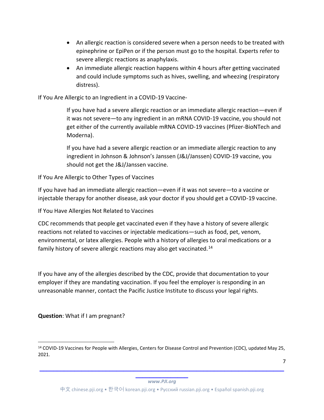- An allergic reaction is considered severe when a person needs to be treated with epinephrine or EpiPen or if the person must go to the hospital. Experts refer to severe allergic reactions as anaphylaxis.
- An immediate allergic reaction happens within 4 hours after getting vaccinated and could include symptoms such as hives, swelling, and wheezing (respiratory distress).

If You Are Allergic to an Ingredient in a COVID-19 Vaccine-

If you have had a severe allergic reaction or an immediate allergic reaction—even if it was not severe—to any ingredient in an mRNA COVID-19 vaccine, you should not get either of the currently available mRNA COVID-19 vaccines (Pfizer-BioNTech and Moderna).

If you have had a severe allergic reaction or an immediate allergic reaction to any ingredient in Johnson & Johnson's Janssen (J&J/Janssen) COVID-19 vaccine, you should not get the J&J/Janssen vaccine.

If You Are Allergic to Other Types of Vaccines

If you have had an immediate allergic reaction—even if it was not severe—to a vaccine or injectable therapy for another disease, ask your doctor if you should get a COVID-19 vaccine.

If You Have Allergies Not Related to Vaccines

CDC recommends that people get vaccinated even if they have a history of severe allergic reactions not related to vaccines or injectable medications—such as food, pet, venom, environmental, or latex allergies. People with a history of allergies to oral medications or a family history of severe allergic reactions may also get vaccinated.<sup>14</sup>

If you have any of the allergies described by the CDC, provide that documentation to your employer if they are mandating vaccination. If you feel the employer is responding in an unreasonable manner, contact the Pacific Justice Institute to discuss your legal rights.

**Question**: What if I am pregnant?

**\_\_\_\_\_\_\_\_\_\_\_\_\_\_\_** *www.PJI.org*

**\_\_\_\_\_\_\_\_\_\_\_\_\_\_\_\_\_\_\_\_\_\_\_\_\_\_\_\_\_\_\_\_\_\_\_\_\_\_\_\_\_\_\_\_\_\_\_\_\_\_\_\_\_\_\_\_\_\_\_\_\_\_\_\_\_\_\_\_\_\_**

<sup>&</sup>lt;sup>14</sup> COVID-19 Vaccines for People with Allergies, Centers for Disease Control and Prevention (CDC), updated May 25, 2021.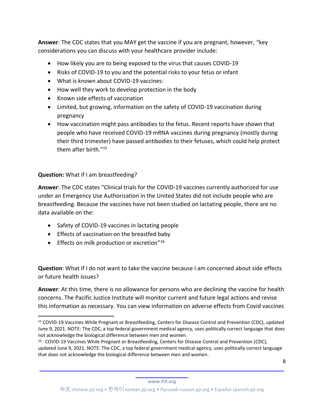**Answer**: The CDC states that you MAY get the vaccine if you are pregnant, however, "key considerations you can discuss with your healthcare provider include:

- How likely you are to being exposed to the virus that causes COVID-19
- Risks of COVID-19 to you and the potential risks to your fetus or infant
- What is known about COVID-19 vaccines:
- How well they work to develop protection in the body
- Known side effects of vaccination
- Limited, but growing, information on the safety of COVID-19 vaccination during pregnancy
- How vaccination might pass antibodies to the fetus. Recent reports have shown that people who have received COVID-19 mRNA vaccines during pregnancy (mostly during their third trimester) have passed antibodies to their fetuses, which could help protect them after birth."<sup>15</sup>

## **Question:** What if I am breastfeeding?

**Answer**: The CDC states "Clinical trials for the COVID-19 vaccines currently authorized for use under an Emergency Use Authorization in the United States did not include people who are breastfeeding. Because the vaccines have not been studied on lactating people, there are no data available on the:

- Safety of COVID-19 vaccines in lactating people
- Effects of vaccination on the breastfed baby
- **•** Effects on milk production or excretion"<sup>16</sup>

**Question**: What if I do not want to take the vaccine because I am concerned about side effects or future health issues?

**Answer**: At this time, there is no allowance for persons who are declining the vaccine for health concerns. The Pacific Justice Institute will monitor current and future legal actions and revise this information as necessary. You can view information on adverse effects from Covid vaccines

8

**\_\_\_\_\_\_\_\_\_\_\_\_\_\_\_** *www.PJI.org*

<sup>15</sup> COVID-19 Vaccines While Pregnant or Breastfeeding, Centers for Disease Control and Prevention (CDC), updated June 9, 2021. NOTE: The CDC, a top federal government medical agency, uses politically correct language that does not acknowledge the biological difference between men and women.

<sup>&</sup>lt;sup>16</sup> COVID-19 Vaccines While Pregnant or Breastfeeding, Centers for Disease Control and Prevention (CDC), updated June 9, 2021. NOTE: The CDC, a top federal government medical agency, uses politically correct language that does not acknowledge the biological difference between men and women.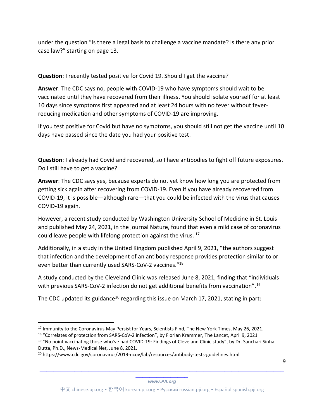under the question "Is there a legal basis to challenge a vaccine mandate? Is there any prior case law?" starting on page 13.

# **Question**: I recently tested positive for Covid 19. Should I get the vaccine?

**Answer**: The CDC says no, people with COVID-19 who have symptoms should wait to be vaccinated until they have recovered from their illness. You should isolate yourself for at least 10 days since symptoms first appeared and at least 24 hours with no fever without feverreducing medication and other symptoms of COVID-19 are improving.

If you test positive for Covid but have no symptoms, you should still not get the vaccine until 10 days have passed since the date you had your positive test.

**Question**: I already had Covid and recovered, so I have antibodies to fight off future exposures. Do I still have to get a vaccine?

**Answer**: The CDC says yes, because experts do not yet know how long you are protected from getting sick again after recovering from COVID-19. Even if you have already recovered from COVID-19, it is possible—although rare—that you could be infected with the virus that causes COVID-19 again.

However, a recent study conducted by Washington University School of Medicine in St. Louis and published May 24, 2021, in the journal Nature, found that even a mild case of coronavirus could leave people with lifelong protection against the virus. 17

Additionally, in a study in the United Kingdom published April 9, 2021, "the authors suggest that infection and the development of an antibody response provides protection similar to or even better than currently used SARS-CoV-2 vaccines."<sup>18</sup>

A study conducted by the Cleveland Clinic was released June 8, 2021, finding that "individuals with previous SARS-CoV-2 infection do not get additional benefits from vaccination".<sup>19</sup>

The CDC updated its guidance<sup>20</sup> regarding this issue on March 17, 2021, stating in part:

<sup>&</sup>lt;sup>17</sup> Immunity to the Coronavirus May Persist for Years, Scientists Find, The New York Times, May 26, 2021.

<sup>18</sup> "Correlates of protection from SARS-CoV-2 infection", by Florian Krammer, The Lancet, April 9, 2021

<sup>&</sup>lt;sup>19</sup> "No point vaccinating those who've had COVID-19: Findings of Cleveland Clinic study", by Dr. Sanchari Sinha Dutta, Ph.D., News-Medical.Net, June 8, 2021.

<sup>20</sup> https://www.cdc.gov/coronavirus/2019-ncov/lab/resources/antibody-tests-guidelines.html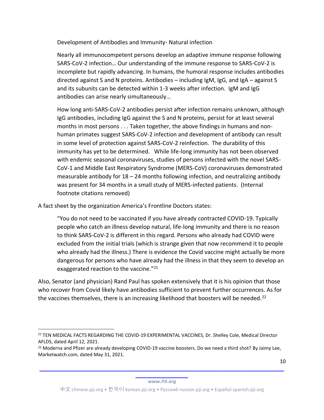Development of Antibodies and Immunity- Natural infection

Nearly all immunocompetent persons develop an adaptive immune response following SARS-CoV-2 infection… Our understanding of the immune response to SARS-CoV-2 is incomplete but rapidly advancing. In humans, the humoral response includes antibodies directed against S and N proteins. Antibodies – including IgM, IgG, and IgA – against S and its subunits can be detected within 1-3 weeks after infection. IgM and IgG antibodies can arise nearly simultaneously…

How long anti-SARS-CoV-2 antibodies persist after infection remains unknown, although IgG antibodies, including IgG against the S and N proteins, persist for at least several months in most persons . . . Taken together, the above findings in humans and nonhuman primates suggest SARS-CoV-2 infection and development of antibody can result in some level of protection against SARS-CoV-2 reinfection. The durability of this immunity has yet to be determined. While life-long immunity has not been observed with endemic seasonal coronaviruses, studies of persons infected with the novel SARS-CoV-1 and Middle East Respiratory Syndrome (MERS-CoV) coronaviruses demonstrated measurable antibody for 18 – 24 months following infection, and neutralizing antibody was present for 34 months in a small study of MERS-infected patients. (Internal footnote citations removed)

A fact sheet by the organization America's Frontline Doctors states:

"You do not need to be vaccinated if you have already contracted COVID-19. Typically people who catch an illness develop natural, life-long immunity and there is no reason to think SARS-CoV-2 is different in this regard. Persons who already had COVID were excluded from the initial trials (which is strange given that now recommend it to people who already had the illness.) There is evidence the Covid vaccine might actually be more dangerous for persons who have already had the illness in that they seem to develop an exaggerated reaction to the vaccine."<sup>21</sup>

Also, Senator (and physician) Rand Paul has spoken extensively that it is his opinion that those who recover from Covid likely have antibodies sufficient to prevent further occurrences. As for the vaccines themselves, there is an increasing likelihood that boosters will be needed.<sup>22</sup>

10

<sup>21</sup> TEN MEDICAL FACTS REGARDING THE COVID-19 EXPERIMENTAL VACCINES, Dr. Shelley Cole, Medical Director AFLDS, dated April 12, 2021.

<sup>&</sup>lt;sup>22</sup> Moderna and Pfizer are already developing COVID-19 vaccine boosters. Do we need a third shot? By Jaimy Lee, Marketwatch.com, dated May 31, 2021.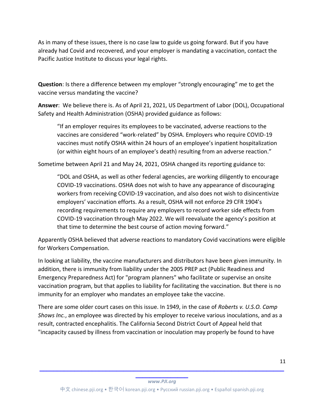As in many of these issues, there is no case law to guide us going forward. But if you have already had Covid and recovered, and your employer is mandating a vaccination, contact the Pacific Justice Institute to discuss your legal rights.

**Question**: Is there a difference between my employer "strongly encouraging" me to get the vaccine versus mandating the vaccine?

**Answer**: We believe there is. As of April 21, 2021, US Department of Labor (DOL), Occupational Safety and Health Administration (OSHA) provided guidance as follows:

"If an employer requires its employees to be vaccinated, adverse reactions to the vaccines are considered "work-related" by OSHA. Employers who require COVID-19 vaccines must notify OSHA within 24 hours of an employee's inpatient hospitalization (or within eight hours of an employee's death) resulting from an adverse reaction."

Sometime between April 21 and May 24, 2021, OSHA changed its reporting guidance to:

"DOL and OSHA, as well as other federal agencies, are working diligently to encourage COVID-19 vaccinations. OSHA does not wish to have any appearance of discouraging workers from receiving COVID-19 vaccination, and also does not wish to disincentivize employers' vaccination efforts. As a result, OSHA will not enforce 29 CFR 1904's recording requirements to require any employers to record worker side effects from COVID-19 vaccination through May 2022. We will reevaluate the agency's position at that time to determine the best course of action moving forward."

Apparently OSHA believed that adverse reactions to mandatory Covid vaccinations were eligible for Workers Compensation.

In looking at liability, the vaccine manufacturers and distributors have been given immunity. In addition, there is immunity from liability under the 2005 PREP act (Public Readiness and Emergency Preparedness Act) for "program planners" who facilitate or supervise an onsite vaccination program, but that applies to liability for facilitating the vaccination. But there is no immunity for an employer who mandates an employee take the vaccine.

There are some older court cases on this issue. In 1949, in the case of *Roberts v. U.S.O. Camp Shows Inc.*, an employee was directed by his employer to receive various inoculations, and as a result, contracted encephalitis. The California Second District Court of Appeal held that "incapacity caused by illness from vaccination or inoculation may properly be found to have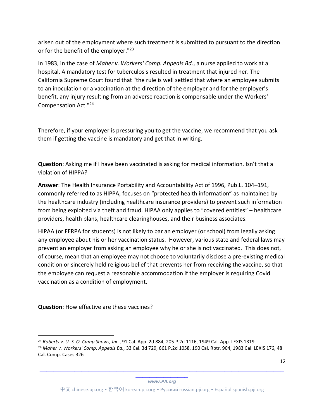arisen out of the employment where such treatment is submitted to pursuant to the direction or for the benefit of the employer."<sup>23</sup>

In 1983, in the case of *Maher v. Workers' Comp. Appeals Bd.*, a nurse applied to work at a hospital. A mandatory test for tuberculosis resulted in treatment that injured her. The California Supreme Court found that "the rule is well settled that where an employee submits to an inoculation or a vaccination at the direction of the employer and for the employer's benefit, any injury resulting from an adverse reaction is compensable under the Workers' Compensation Act."24

Therefore, if your employer is pressuring you to get the vaccine, we recommend that you ask them if getting the vaccine is mandatory and get that in writing.

**Question**: Asking me if I have been vaccinated is asking for medical information. Isn't that a violation of HIPPA?

**Answer**: The Health Insurance Portability and Accountability Act of 1996, Pub.L. 104–191, commonly referred to as HIPPA, focuses on "protected health information" as maintained by the healthcare industry (including healthcare insurance providers) to prevent such information from being exploited via theft and fraud. HIPAA only applies to "covered entities" – healthcare providers, health plans, healthcare clearinghouses, and their business associates.

HIPAA (or FERPA for students) is not likely to bar an employer (or school) from legally asking any employee about his or her vaccination status. However, various state and federal laws may prevent an employer from asking an employee why he or she is not vaccinated. This does not, of course, mean that an employee may not choose to voluntarily disclose a pre-existing medical condition or sincerely held religious belief that prevents her from receiving the vaccine, so that the employee can request a reasonable accommodation if the employer is requiring Covid vaccination as a condition of employment.

**Question**: How effective are these vaccines?

**\_\_\_\_\_\_\_\_\_\_\_\_\_\_\_** *www.PJI.org*

**\_\_\_\_\_\_\_\_\_\_\_\_\_\_\_\_\_\_\_\_\_\_\_\_\_\_\_\_\_\_\_\_\_\_\_\_\_\_\_\_\_\_\_\_\_\_\_\_\_\_\_\_\_\_\_\_\_\_\_\_\_\_\_\_\_\_\_\_\_\_**

<sup>23</sup> *Roberts v. U. S. O. Camp Shows, Inc*., 91 Cal. App. 2d 884, 205 P.2d 1116, 1949 Cal. App. LEXIS 1319

<sup>24</sup> *Maher v. Workers' Comp. Appeals Bd.,* 33 Cal. 3d 729, 661 P.2d 1058, 190 Cal. Rptr. 904, 1983 Cal. LEXIS 176, 48 Cal. Comp. Cases 326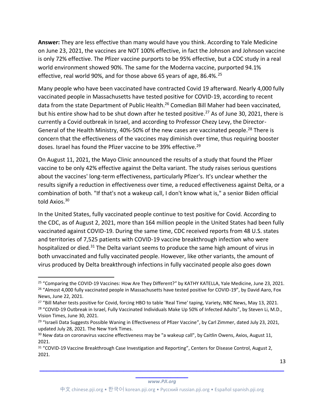**Answer:** They are less effective than many would have you think. According to Yale Medicine on June 23, 2021, the vaccines are NOT 100% effective, in fact the Johnson and Johnson vaccine is only 72% effective. The Pfizer vaccine purports to be 95% effective, but a CDC study in a real world environment showed 90%. The same for the Moderna vaccine, purported 94.1% effective, real world 90%, and for those above 65 years of age, 86.4%.<sup>25</sup>

Many people who have been vaccinated have contracted Covid 19 afterward. Nearly 4,000 fully vaccinated people in Massachusetts have tested positive for COVID-19, according to recent data from the state Department of Public Health.<sup>26</sup> Comedian Bill Maher had been vaccinated, but his entire show had to be shut down after he tested positive. <sup>27</sup> As of June 30, 2021, there is currently a Covid outbreak in Israel, and according to Professor Chezy Levy, the Director-General of the Health Ministry, 40%-50% of the new cases are vaccinated people.<sup>28</sup> There is concern that the effectiveness of the vaccines may diminish over time, thus requiring booster doses. Israel has found the Pfizer vaccine to be 39% effective.<sup>29</sup>

On August 11, 2021, the Mayo Clinic announced the results of a study that found the Pfizer vaccine to be only 42% effective against the Delta variant. The study raises serious questions about the vaccines' long-term effectiveness, particularly Pfizer's. It's unclear whether the results signify a reduction in effectiveness over time, a reduced effectiveness against Delta, or a combination of both. "If that's not a wakeup call, I don't know what is," a senior Biden official told Axios.<sup>30</sup>

In the United States, fully vaccinated people continue to test positive for Covid. According to the CDC, as of August 2, 2021, more than 164 million people in the United States had been fully vaccinated against COVID-19. During the same time, CDC received reports from 48 U.S. states and territories of 7,525 patients with COVID-19 vaccine breakthrough infection who were hospitalized or died.<sup>31</sup> The Delta variant seems to produce the same high amount of virus in both unvaccinated and fully vaccinated people. However, like other variants, the amount of virus produced by Delta breakthrough infections in fully vaccinated people also goes down

<sup>&</sup>lt;sup>25</sup> "Comparing the COVID-19 Vaccines: How Are They Different?" by KATHY KATELLA, Yale Medicine, June 23, 2021. <sup>26</sup> "Almost 4,000 fully vaccinated people in Massachusetts have tested positive for COVID-19", by David Aaro, Fox News, June 22, 2021.

<sup>&</sup>lt;sup>27</sup> "Bill Maher tests positive for Covid, forcing HBO to table 'Real Time' taping, Variety, NBC News, May 13, 2021. <sup>28</sup> "COVID-19 Outbreak in Israel, Fully Vaccinated Individuals Make Up 50% of Infected Adults", by Steven Li, M.D., Vision Times, June 30, 2021.

<sup>&</sup>lt;sup>29</sup> "Israeli Data Suggests Possible Waning in Effectiveness of Pfizer Vaccine", by Carl Zimmer, dated July 23, 2021, updated July 28, 2021. The New York Times.

<sup>&</sup>lt;sup>30</sup> New data on coronavirus vaccine effectiveness may be "a wakeup call", by Caitlin Owens, Axios, August 11, 2021.

<sup>&</sup>lt;sup>31</sup> "COVID-19 Vaccine Breakthrough Case Investigation and Reporting", Centers for Disease Control, August 2, 2021.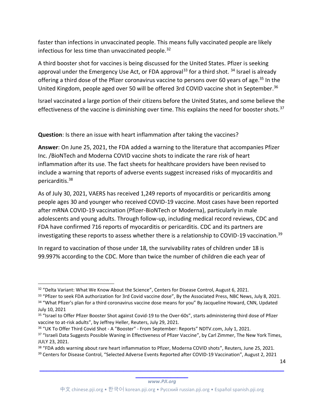faster than infections in unvaccinated people. This means fully vaccinated people are likely infectious for less time than unvaccinated people.<sup>32</sup>

A third booster shot for vaccines is being discussed for the United States. Pfizer is seeking approval under the Emergency Use Act, or FDA approval<sup>33</sup> for a third shot.  $34$  Israel is already offering a third dose of the Pfizer coronavirus vaccine to persons over 60 years of age.<sup>35</sup> In the United Kingdom, people aged over 50 will be offered 3rd COVID vaccine shot in September.<sup>36</sup>

Israel vaccinated a large portion of their citizens before the United States, and some believe the effectiveness of the vaccine is diminishing over time. This explains the need for booster shots.<sup>37</sup>

**Question**: Is there an issue with heart inflammation after taking the vaccines?

**Answer**: On June 25, 2021, the FDA added a warning to the literature that accompanies Pfizer Inc. /BioNTech and Moderna COVID vaccine shots to indicate the rare risk of heart inflammation after its use. The fact sheets for healthcare providers have been revised to include a warning that reports of adverse events suggest increased risks of myocarditis and pericarditis. 38

As of July 30, 2021, VAERS has received 1,249 reports of myocarditis or pericarditis among people ages 30 and younger who received COVID-19 vaccine. Most cases have been reported after mRNA COVID-19 vaccination (Pfizer-BioNTech or Moderna), particularly in male adolescents and young adults. Through follow-up, including medical record reviews, CDC and FDA have confirmed 716 reports of myocarditis or pericarditis. CDC and its partners are investigating these reports to assess whether there is a relationship to COVID-19 vaccination.<sup>39</sup>

In regard to vaccination of those under 18, the survivability rates of children under 18 is 99.997% according to the CDC. More than twice the number of children die each year of

14

<sup>&</sup>lt;sup>32</sup> "Delta Variant: What We Know About the Science", Centers for Disease Control, August 6, 2021.

<sup>&</sup>lt;sup>33</sup> "Pfizer to seek FDA authorization for 3rd Covid vaccine dose", By the Associated Press, NBC News, July 8, 2021.<br><sup>34</sup> "What Pfizer's plan for a third coronavirus vaccine dose means for you" By Jacqueline Howard, CNN, U July 10, 2021

<sup>&</sup>lt;sup>35</sup> "Israel to Offer Pfizer Booster Shot against Covid-19 to the Over-60s", starts administering third dose of Pfizer vaccine to at-risk adults", by Jeffrey Heller, Reuters, July 29, 2021.

<sup>36</sup> "UK To Offer Third Covid Shot - A "Booster" - From September: Reports" NDTV.com, July 1, 2021.

<sup>&</sup>lt;sup>37</sup> "Israeli Data Suggests Possible Waning in Effectiveness of Pfizer Vaccine", by Carl Zimmer, The New York Times, JULY 23, 2021.

<sup>38</sup> "FDA adds warning about rare heart inflammation to Pfizer, Moderna COVID shots", Reuters, June 25, 2021. <sup>39</sup> Centers for Disease Control, "Selected Adverse Events Reported after COVID-19 Vaccination", August 2, 2021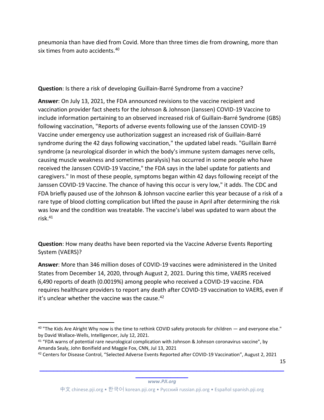pneumonia than have died from Covid. More than three times die from drowning, more than six times from auto accidents.<sup>40</sup>

**Question**: Is there a risk of developing Guillain-Barré Syndrome from a vaccine?

**Answer**: On July 13, 2021, the FDA announced revisions to the vaccine recipient and vaccination provider fact sheets for the Johnson & Johnson (Janssen) COVID-19 Vaccine to include information pertaining to an observed increased risk of Guillain-Barré Syndrome (GBS) following vaccination, "Reports of adverse events following use of the Janssen COVID-19 Vaccine under emergency use authorization suggest an increased risk of Guillain-Barré syndrome during the 42 days following vaccination," the updated label reads. "Guillain Barré syndrome (a neurological disorder in which the body's immune system damages nerve cells, causing muscle weakness and sometimes paralysis) has occurred in some people who have received the Janssen COVID-19 Vaccine," the FDA says in the label update for patients and caregivers." In most of these people, symptoms began within 42 days following receipt of the Janssen COVID-19 Vaccine. The chance of having this occur is very low," it adds. The CDC and FDA briefly paused use of the Johnson & Johnson vaccine earlier this year because of a risk of a rare type of blood clotting complication but lifted the pause in April after determining the risk was low and the condition was treatable. The vaccine's label was updated to warn about the risk. 41

**Question**: How many deaths have been reported via the Vaccine Adverse Events Reporting System (VAERS)?

**Answer**: More than 346 million doses of COVID-19 vaccines were administered in the United States from December 14, 2020, through August 2, 2021. During this time, VAERS received 6,490 reports of death (0.0019%) among people who received a COVID-19 vaccine. FDA requires healthcare providers to report any death after COVID-19 vaccination to VAERS, even if it's unclear whether the vaccine was the cause.<sup>42</sup>

15

 $40$  "The Kids Are Alright Why now is the time to rethink COVID safety protocols for children — and everyone else." by David Wallace-Wells, Intelligencer, July 12, 2021.

<sup>&</sup>lt;sup>41</sup> "FDA warns of potential rare neurological complication with Johnson & Johnson coronavirus vaccine", by Amanda Sealy, John Bonifield and Maggie Fox, CNN, Jul 13, 2021

<sup>42</sup> Centers for Disease Control, "Selected Adverse Events Reported after COVID-19 Vaccination", August 2, 2021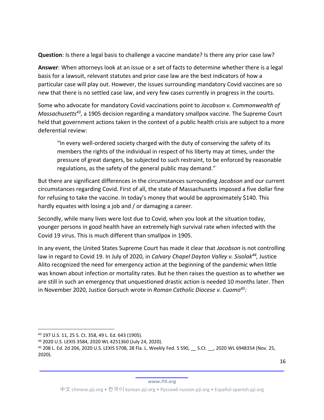**Question**: Is there a legal basis to challenge a vaccine mandate? Is there any prior case law?

**Answer**: When attorneys look at an issue or a set of facts to determine whether there is a legal basis for a lawsuit, relevant statutes and prior case law are the best indicators of how a particular case will play out. However, the issues surrounding mandatory Covid vaccines are so new that there is no settled case law, and very few cases currently in progress in the courts.

Some who advocate for mandatory Covid vaccinations point to *Jacobson v. Commonwealth of Massachusetts43*, a 1905 decision regarding a mandatory smallpox vaccine. The Supreme Court held that government actions taken in the context of a public health crisis are subject to a more deferential review:

"In every well-ordered society charged with the duty of conserving the safety of its members the rights of the individual in respect of his liberty may at times, under the pressure of great dangers, be subjected to such restraint, to be enforced by reasonable regulations, as the safety of the general public may demand."

But there are significant differences in the circumstances surrounding *Jacobson* and our current circumstances regarding Covid. First of all, the state of Massachusetts imposed a five dollar fine for refusing to take the vaccine. In today's money that would be approximately \$140. This hardly equates with losing a job and / or damaging a career.

Secondly, while many lives were lost due to Covid, when you look at the situation today, younger persons in good health have an extremely high survival rate when infected with the Covid 19 virus. This is much different than smallpox in 1905.

In any event, the United States Supreme Court has made it clear that *Jacobson* is not controlling law in regard to Covid 19. In July of 2020, in *Calvary Chapel Dayton Valley v. Sisolak44,* Justice Alito recognized the need for emergency action at the beginning of the pandemic when little was known about infection or mortality rates. But he then raises the question as to whether we are still in such an emergency that unquestioned drastic action is needed 10 months later. Then in November 2020, Justice Gorsuch wrote in *Roman Catholic Diocese v. Cuomo45:*

<sup>43</sup> 197 U.S. 11, 25 S. Ct. 358, 49 L. Ed. 643 (1905).

<sup>44</sup> 2020 U.S. LEXIS 3584, 2020 WL 4251360 (July 24, 2020).

<sup>45</sup> 208 L. Ed. 2d 206, 2020 U.S. LEXIS 5708, 28 Fla. L. Weekly Fed. S 590, \_\_ S.Ct. \_\_, 2020 WL 6948354 (Nov. 25, 2020).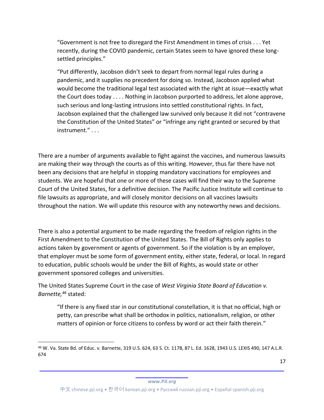"Government is not free to disregard the First Amendment in times of crisis . . . Yet recently, during the COVID pandemic, certain States seem to have ignored these longsettled principles."

"Put differently, Jacobson didn't seek to depart from normal legal rules during a pandemic, and it supplies no precedent for doing so. Instead, Jacobson applied what would become the traditional legal test associated with the right at issue—exactly what the Court does today . . . . Nothing in Jacobson purported to address, let alone approve, such serious and long-lasting intrusions into settled constitutional rights. In fact, Jacobson explained that the challenged law survived only because it did not "contravene the Constitution of the United States" or "infringe any right granted or secured by that instrument." . . .

There are a number of arguments available to fight against the vaccines, and numerous lawsuits are making their way through the courts as of this writing. However, thus far there have not been any decisions that are helpful in stopping mandatory vaccinations for employees and students. We are hopeful that one or more of these cases will find their way to the Supreme Court of the United States, for a definitive decision. The Pacific Justice Institute will continue to file lawsuits as appropriate, and will closely monitor decisions on all vaccines lawsuits throughout the nation. We will update this resource with any noteworthy news and decisions.

There is also a potential argument to be made regarding the freedom of religion rights in the First Amendment to the Constitution of the United States. The Bill of Rights only applies to actions taken by government or agents of government. So if the violation is by an employer, that employer must be some form of government entity, either state, federal, or local. In regard to education, public schools would be under the Bill of Rights, as would state or other government sponsored colleges and universities.

The United States Supreme Court in the case of *West Virginia State Board of Education v. Barnette,46* stated:

"If there is any fixed star in our constitutional constellation, it is that no official, high or petty, can prescribe what shall be orthodox in politics, nationalism, religion, or other matters of opinion or force citizens to confess by word or act their faith therein."

17

**\_\_\_\_\_\_\_\_\_\_\_\_\_\_\_** *www.PJI.org*

<sup>46</sup> W. Va. State Bd. of Educ. v. Barnette, 319 U.S. 624, 63 S. Ct. 1178, 87 L. Ed. 1628, 1943 U.S. LEXIS 490, 147 A.L.R. 674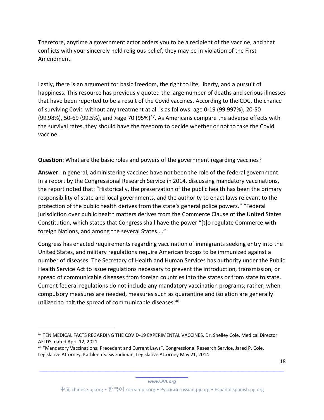Therefore, anytime a government actor orders you to be a recipient of the vaccine, and that conflicts with your sincerely held religious belief, they may be in violation of the First Amendment.

Lastly, there is an argument for basic freedom, the right to life, liberty, and a pursuit of happiness. This resource has previously quoted the large number of deaths and serious illnesses that have been reported to be a result of the Covid vaccines. According to the CDC, the chance of surviving Covid without any treatment at all is as follows: age 0-19 (99.997%), 20-50 (99.98%), 50-69 (99.5%), and >age 70 (95%) $47$ . As Americans compare the adverse effects with the survival rates, they should have the freedom to decide whether or not to take the Covid vaccine.

**Question**: What are the basic roles and powers of the government regarding vaccines?

**Answer**: In general, administering vaccines have not been the role of the federal government. In a report by the Congressional Research Service in 2014, discussing mandatory vaccinations, the report noted that: "Historically, the preservation of the public health has been the primary responsibility of state and local governments, and the authority to enact laws relevant to the protection of the public health derives from the state's general police powers." "Federal jurisdiction over public health matters derives from the Commerce Clause of the United States Constitution, which states that Congress shall have the power "[t]o regulate Commerce with foreign Nations, and among the several States...."

Congress has enacted requirements regarding vaccination of immigrants seeking entry into the United States, and military regulations require American troops to be immunized against a number of diseases. The Secretary of Health and Human Services has authority under the Public Health Service Act to issue regulations necessary to prevent the introduction, transmission, or spread of communicable diseases from foreign countries into the states or from state to state. Current federal regulations do not include any mandatory vaccination programs; rather, when compulsory measures are needed, measures such as quarantine and isolation are generally utilized to halt the spread of communicable diseases.48

18

**\_\_\_\_\_\_\_\_\_\_\_\_\_\_\_** *www.PJI.org*

<sup>47</sup> TEN MEDICAL FACTS REGARDING THE COVID-19 EXPERIMENTAL VACCINES, Dr. Shelley Cole, Medical Director AFLDS, dated April 12, 2021.

<sup>48</sup> "Mandatory Vaccinations: Precedent and Current Laws", Congressional Research Service, Jared P. Cole, Legislative Attorney, Kathleen S. Swendiman, Legislative Attorney May 21, 2014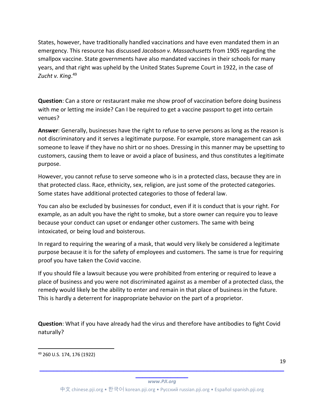States, however, have traditionally handled vaccinations and have even mandated them in an emergency. This resource has discussed *Jacobson v. Massachusetts* from 1905 regarding the smallpox vaccine. State governments have also mandated vaccines in their schools for many years, and that right was upheld by the United States Supreme Court in 1922, in the case of *Zucht v. King*. 49

**Question**: Can a store or restaurant make me show proof of vaccination before doing business with me or letting me inside? Can I be required to get a vaccine passport to get into certain venues?

**Answer**: Generally, businesses have the right to refuse to serve persons as long as the reason is not discriminatory and it serves a legitimate purpose. For example, store management can ask someone to leave if they have no shirt or no shoes. Dressing in this manner may be upsetting to customers, causing them to leave or avoid a place of business, and thus constitutes a legitimate purpose.

However, you cannot refuse to serve someone who is in a protected class, because they are in that protected class. Race, ethnicity, sex, religion, are just some of the protected categories. Some states have additional protected categories to those of federal law.

You can also be excluded by businesses for conduct, even if it is conduct that is your right. For example, as an adult you have the right to smoke, but a store owner can require you to leave because your conduct can upset or endanger other customers. The same with being intoxicated, or being loud and boisterous.

In regard to requiring the wearing of a mask, that would very likely be considered a legitimate purpose because it is for the safety of employees and customers. The same is true for requiring proof you have taken the Covid vaccine.

If you should file a lawsuit because you were prohibited from entering or required to leave a place of business and you were not discriminated against as a member of a protected class, the remedy would likely be the ability to enter and remain in that place of business in the future. This is hardly a deterrent for inappropriate behavior on the part of a proprietor.

**Question**: What if you have already had the virus and therefore have antibodies to fight Covid naturally?

<sup>49</sup> 260 U.S. 174, 176 (1922)

**\_\_\_\_\_\_\_\_\_\_\_\_\_\_\_** *www.PJI.org*

**\_\_\_\_\_\_\_\_\_\_\_\_\_\_\_\_\_\_\_\_\_\_\_\_\_\_\_\_\_\_\_\_\_\_\_\_\_\_\_\_\_\_\_\_\_\_\_\_\_\_\_\_\_\_\_\_\_\_\_\_\_\_\_\_\_\_\_\_\_\_**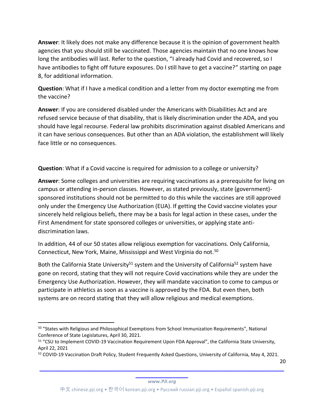**Answer**: It likely does not make any difference because it is the opinion of government health agencies that you should still be vaccinated. Those agencies maintain that no one knows how long the antibodies will last. Refer to the question, "I already had Covid and recovered, so I have antibodies to fight off future exposures. Do I still have to get a vaccine?" starting on page 8, for additional information.

**Question**: What if I have a medical condition and a letter from my doctor exempting me from the vaccine?

**Answer**: If you are considered disabled under the Americans with Disabilities Act and are refused service because of that disability, that is likely discrimination under the ADA, and you should have legal recourse. Federal law prohibits discrimination against disabled Americans and it can have serious consequences. But other than an ADA violation, the establishment will likely face little or no consequences.

**Question**: What if a Covid vaccine is required for admission to a college or university?

**Answer**: Some colleges and universities are requiring vaccinations as a prerequisite for living on campus or attending in-person classes. However, as stated previously, state (government) sponsored institutions should not be permitted to do this while the vaccines are still approved only under the Emergency Use Authorization (EUA). If getting the Covid vaccine violates your sincerely held religious beliefs, there may be a basis for legal action in these cases, under the First Amendment for state sponsored colleges or universities, or applying state antidiscrimination laws.

In addition, 44 of our 50 states allow religious exemption for vaccinations. Only California, Connecticut, New York, Maine, Mississippi and West Virginia do not.50

Both the California State University<sup>51</sup> system and the University of California<sup>52</sup> system have gone on record, stating that they will not require Covid vaccinations while they are under the Emergency Use Authorization. However, they will mandate vaccination to come to campus or participate in athletics as soon as a vaccine is approved by the FDA. But even then, both systems are on record stating that they will allow religious and medical exemptions.

20

<sup>50</sup> "States with Religious and Philosophical Exemptions from School Immunization Requirements", National Conference of State Legislatures, April 30, 2021.

<sup>51</sup> "CSU to Implement COVID-19 Vaccination Requirement Upon FDA Approval", the California State University, April 22, 2021

<sup>52</sup> COVID-19 Vaccination Draft Policy, Student Frequently Asked Questions, University of California, May 4, 2021.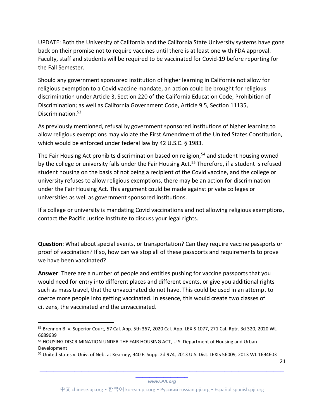UPDATE: Both the University of California and the California State University systems have gone back on their promise not to require vaccines until there is at least one with FDA approval. Faculty, staff and students will be required to be vaccinated for Covid-19 before reporting for the Fall Semester.

Should any government sponsored institution of higher learning in California not allow for religious exemption to a Covid vaccine mandate, an action could be brought for religious discrimination under Article 3, Section 220 of the California Education Code, Prohibition of Discrimination; as well as California Government Code, Article 9.5, Section 11135, Discrimination.<sup>53</sup>

As previously mentioned, refusal by government sponsored institutions of higher learning to allow religious exemptions may violate the First Amendment of the United States Constitution, which would be enforced under federal law by 42 U.S.C. § 1983.

The Fair Housing Act prohibits discrimination based on religion, $54$  and student housing owned by the college or university falls under the Fair Housing Act.<sup>55</sup> Therefore, if a student is refused student housing on the basis of not being a recipient of the Covid vaccine, and the college or university refuses to allow religious exemptions, there may be an action for discrimination under the Fair Housing Act. This argument could be made against private colleges or universities as well as government sponsored institutions.

If a college or university is mandating Covid vaccinations and not allowing religious exemptions, contact the Pacific Justice Institute to discuss your legal rights.

**Question**: What about special events, or transportation? Can they require vaccine passports or proof of vaccination? If so, how can we stop all of these passports and requirements to prove we have been vaccinated?

**Answer**: There are a number of people and entities pushing for vaccine passports that you would need for entry into different places and different events, or give you additional rights such as mass travel, that the unvaccinated do not have. This could be used in an attempt to coerce more people into getting vaccinated. In essence, this would create two classes of citizens, the vaccinated and the unvaccinated.

21

<sup>53</sup> Brennon B. v. Superior Court, 57 Cal. App. 5th 367, 2020 Cal. App. LEXIS 1077, 271 Cal. Rptr. 3d 320, 2020 WL 6689639

<sup>&</sup>lt;sup>54</sup> HOUSING DISCRIMINATION UNDER THE FAIR HOUSING ACT, U.S. Department of Housing and Urban Development

<sup>55</sup> United States v. Univ. of Neb. at Kearney, 940 F. Supp. 2d 974, 2013 U.S. Dist. LEXIS 56009, 2013 WL 1694603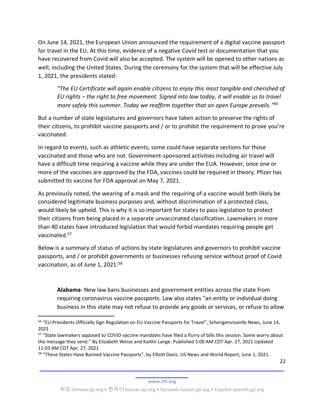On June 14, 2021, the European Union announced the requirement of a digital vaccine passport for travel in the EU. At this time, evidence of a negative Covid test or documentation that you have recovered from Covid will also be accepted. The system will be opened to other nations as well, including the United States. During the ceremony for the system that will be effective July 1, 2021, the presidents stated:

*"The EU Certificate will again enable citizens to enjoy this most tangible and cherished of EU rights – the right to free movement. Signed into law today, it will enable us to travel more safely this summer. Today we reaffirm together that an open Europe prevails."<sup>56</sup>*

But a number of state legislatures and governors have taken action to preserve the rights of their citizens, to prohibit vaccine passports and / or to prohibit the requirement to prove you're vaccinated.

In regard to events, such as athletic events, some could have separate sections for those vaccinated and those who are not. Government-sponsored activities including air travel will have a difficult time requiring a vaccine while they are under the EUA. However, once one or more of the vaccines are approved by the FDA, vaccines could be required in theory. Pfizer has submitted its vaccine for FDA approval on May 7, 2021.

As previously noted, the wearing of a mask and the requiring of a vaccine would both likely be considered legitimate business purposes and, without discrimination of a protected class, would likely be upheld. This is why it is so important for states to pass legislation to protect their citizens from being placed in a separate unvaccinated classification. Lawmakers in more than 40 states have introduced legislation that would forbid mandates requiring people get vaccinated.57

Below is a summary of status of actions by state legislatures and governors to prohibit vaccine passports, and / or prohibit governments or businesses refusing service without proof of Covid vaccination, as of June 1, 2021:<sup>58</sup>

**Alabama**- New law bans businesses and government entities across the state from requiring coronavirus vaccine passports. Law also states "an entity or individual doing business in this state may not refuse to provide any goods or services, or refuse to allow

22

<sup>56</sup> "EU Presidents Officially Sign Regulation on EU Vaccine Passports for Travel", Schengenvisainfo News, June 14, 2021

<sup>57 &</sup>quot;State lawmakers opposed to COVID vaccine mandates have filed a flurry of bills this session. Some worry about the message they send." By Elizabeth Weise and Kaitlin Lange. Published 5:00 AM CDT Apr. 27, 2021 Updated 11:03 AM CDT Apr. 27, 2021

<sup>58 &</sup>quot;These States Have Banned Vaccine Passports", by Elliott Davis. US News and World Report, June 1, 2021.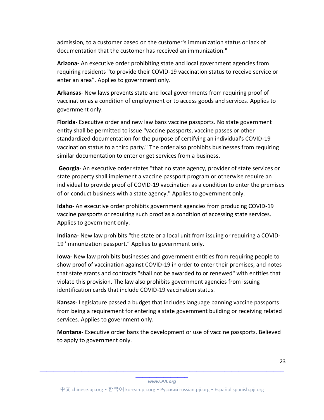admission, to a customer based on the customer's immunization status or lack of documentation that the customer has received an immunization."

**Arizona-** An executive order prohibiting state and local government agencies from requiring residents "to provide their COVID-19 vaccination status to receive service or enter an area". Applies to government only.

**Arkansas**- New laws prevents state and local governments from requiring proof of vaccination as a condition of employment or to access goods and services. Applies to government only.

**Florida**- Executive order and new law bans vaccine passports. No state government entity shall be permitted to issue "vaccine passports, vaccine passes or other standardized documentation for the purpose of certifying an individual's COVID-19 vaccination status to a third party." The order also prohibits businesses from requiring similar documentation to enter or get services from a business.

**Georgia**- An executive order states "that no state agency, provider of state services or state property shall implement a vaccine passport program or otherwise require an individual to provide proof of COVID-19 vaccination as a condition to enter the premises of or conduct business with a state agency." Applies to government only.

**Idaho**- An executive order prohibits government agencies from producing COVID-19 vaccine passports or requiring such proof as a condition of accessing state services. Applies to government only.

**Indiana**- New law prohibits "the state or a local unit from issuing or requiring a COVID-19 'immunization passport." Applies to government only.

**Iowa**- New law prohibits businesses and government entities from requiring people to show proof of vaccination against COVID-19 in order to enter their premises, and notes that state grants and contracts "shall not be awarded to or renewed" with entities that violate this provision. The law also prohibits government agencies from issuing identification cards that include COVID-19 vaccination status.

**Kansas**- Legislature passed a budget that includes language banning vaccine passports from being a requirement for entering a state government building or receiving related services. Applies to government only.

**Montana**- Executive order bans the development or use of vaccine passports. Believed to apply to government only.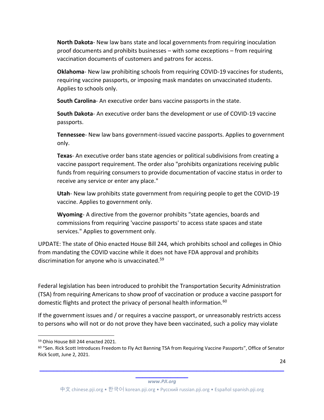**North Dakota**- New law bans state and local governments from requiring inoculation proof documents and prohibits businesses – with some exceptions – from requiring vaccination documents of customers and patrons for access.

**Oklahoma**- New law prohibiting schools from requiring COVID-19 vaccines for students, requiring vaccine passports, or imposing mask mandates on unvaccinated students. Applies to schools only.

**South Carolina**- An executive order bans vaccine passports in the state.

**South Dakota**- An executive order bans the development or use of COVID-19 vaccine passports.

**Tennessee**- New law bans government-issued vaccine passports. Applies to government only.

**Texas**- An executive order bans state agencies or political subdivisions from creating a vaccine passport requirement. The order also "prohibits organizations receiving public funds from requiring consumers to provide documentation of vaccine status in order to receive any service or enter any place."

**Utah**- New law prohibits state government from requiring people to get the COVID-19 vaccine. Applies to government only.

**Wyoming**- A directive from the governor prohibits "state agencies, boards and commissions from requiring 'vaccine passports' to access state spaces and state services." Applies to government only.

UPDATE: The state of Ohio enacted House Bill 244, which prohibits school and colleges in Ohio from mandating the COVID vaccine while it does not have FDA approval and prohibits discrimination for anyone who is unvaccinated.<sup>59</sup>

Federal legislation has been introduced to prohibit the Transportation Security Administration (TSA) from requiring Americans to show proof of vaccination or produce a vaccine passport for domestic flights and protect the privacy of personal health information.60

If the government issues and / or requires a vaccine passport, or unreasonably restricts access to persons who will not or do not prove they have been vaccinated, such a policy may violate

24

<sup>59</sup> Ohio House Bill 244 enacted 2021.

<sup>60</sup> "Sen. Rick Scott Introduces Freedom to Fly Act Banning TSA from Requiring Vaccine Passports", Office of Senator Rick Scott, June 2, 2021.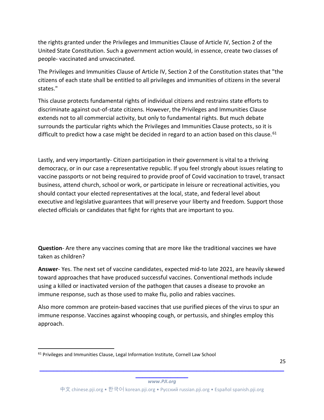the rights granted under the Privileges and Immunities Clause of Article IV, Section 2 of the United State Constitution. Such a government action would, in essence, create two classes of people- vaccinated and unvaccinated.

The Privileges and Immunities Clause of Article IV, Section 2 of the Constitution states that "the citizens of each state shall be entitled to all privileges and immunities of citizens in the several states."

This clause protects fundamental rights of individual citizens and restrains state efforts to discriminate against out-of-state citizens. However, the Privileges and Immunities Clause extends not to all commercial activity, but only to fundamental rights. But much debate surrounds the particular rights which the Privileges and Immunities Clause protects, so it is difficult to predict how a case might be decided in regard to an action based on this clause.  $61$ 

Lastly, and very importantly- Citizen participation in their government is vital to a thriving democracy, or in our case a representative republic. If you feel strongly about issues relating to vaccine passports or not being required to provide proof of Covid vaccination to travel, transact business, attend church, school or work, or participate in leisure or recreational activities, you should contact your elected representatives at the local, state, and federal level about executive and legislative guarantees that will preserve your liberty and freedom. Support those elected officials or candidates that fight for rights that are important to you.

**Question**- Are there any vaccines coming that are more like the traditional vaccines we have taken as children?

**Answer**- Yes. The next set of vaccine candidates, expected mid-to late 2021, are heavily skewed toward approaches that have produced successful vaccines. Conventional methods include using a killed or inactivated version of the pathogen that causes a disease to provoke an immune response, such as those used to make flu, polio and rabies vaccines.

Also more common are protein-based vaccines that use purified pieces of the virus to spur an immune response. Vaccines against whooping cough, or pertussis, and shingles employ this approach.

**\_\_\_\_\_\_\_\_\_\_\_\_\_\_\_** *www.PJI.org*

**\_\_\_\_\_\_\_\_\_\_\_\_\_\_\_\_\_\_\_\_\_\_\_\_\_\_\_\_\_\_\_\_\_\_\_\_\_\_\_\_\_\_\_\_\_\_\_\_\_\_\_\_\_\_\_\_\_\_\_\_\_\_\_\_\_\_\_\_\_\_**

<sup>&</sup>lt;sup>61</sup> Privileges and Immunities Clause, Legal Information Institute, Cornell Law School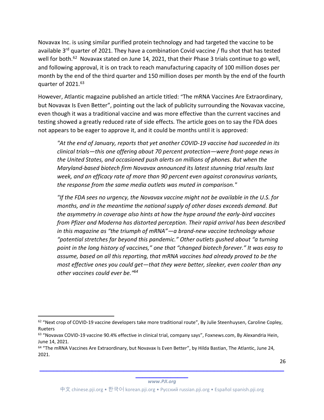Novavax Inc. is using similar purified protein technology and had targeted the vaccine to be available 3<sup>rd</sup> quarter of 2021. They have a combination Covid vaccine / flu shot that has tested well for both.<sup>62</sup> Novavax stated on June 14, 2021, that their Phase 3 trials continue to go well, and following approval, it is on track to reach manufacturing capacity of 100 million doses per month by the end of the third quarter and 150 million doses per month by the end of the fourth quarter of 2021.63

However, Atlantic magazine published an article titled: "The mRNA Vaccines Are Extraordinary, but Novavax Is Even Better", pointing out the lack of publicity surrounding the Novavax vaccine, even though it was a traditional vaccine and was more effective than the current vaccines and testing showed a greatly reduced rate of side effects. The article goes on to say the FDA does not appears to be eager to approve it, and it could be months until it is approved:

*"At the end of January, reports that yet another COVID-19 vaccine had succeeded in its clinical trials—this one offering about 70 percent protection—were front-page news in the United States, and occasioned push alerts on millions of phones. But when the Maryland-based biotech firm Novavax announced its latest stunning trial results last week, and an efficacy rate of more than 90 percent even against coronavirus variants, the response from the same media outlets was muted in comparison."*

*"If the FDA sees no urgency, the Novavax vaccine might not be available in the U.S. for months, and in the meantime the national supply of other doses exceeds demand. But the asymmetry in coverage also hints at how the hype around the early-bird vaccines from Pfizer and Moderna has distorted perception. Their rapid arrival has been described in this magazine as "the triumph of mRNA"—a brand-new vaccine technology whose "potential stretches far beyond this pandemic." Other outlets gushed about "a turning point in the long history of vaccines," one that "changed biotech forever." It was easy to assume, based on all this reporting, that mRNA vaccines had already proved to be the most effective ones you could get—that they were better, sleeker, even cooler than any other vaccines could ever be."<sup>64</sup>*

26

 $62$  "Next crop of COVID-19 vaccine developers take more traditional route", By Julie Steenhuysen, Caroline Copley, Rueters

<sup>&</sup>lt;sup>63</sup> "Novavax COVID-19 vaccine 90.4% effective in clinical trial, company says", Foxnews.com, By Alexandria Hein, June 14, 2021.

<sup>&</sup>lt;sup>64</sup> "The mRNA Vaccines Are Extraordinary, but Novavax Is Even Better", by Hilda Bastian, The Atlantic, June 24, 2021.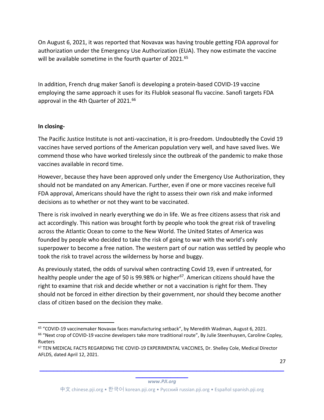On August 6, 2021, it was reported that Novavax was having trouble getting FDA approval for authorization under the Emergency Use Authorization (EUA). They now estimate the vaccine will be available sometime in the fourth quarter of 2021.<sup>65</sup>

In addition, French drug maker Sanofi is developing a protein-based COVID-19 vaccine employing the same approach it uses for its Flublok seasonal flu vaccine. Sanofi targets FDA approval in the 4th Quarter of 2021.<sup>66</sup>

### **In closing-**

The Pacific Justice Institute is not anti-vaccination, it is pro-freedom. Undoubtedly the Covid 19 vaccines have served portions of the American population very well, and have saved lives. We commend those who have worked tirelessly since the outbreak of the pandemic to make those vaccines available in record time.

However, because they have been approved only under the Emergency Use Authorization, they should not be mandated on any American. Further, even if one or more vaccines receive full FDA approval, Americans should have the right to assess their own risk and make informed decisions as to whether or not they want to be vaccinated.

There is risk involved in nearly everything we do in life. We as free citizens assess that risk and act accordingly. This nation was brought forth by people who took the great risk of traveling across the Atlantic Ocean to come to the New World. The United States of America was founded by people who decided to take the risk of going to war with the world's only superpower to become a free nation. The western part of our nation was settled by people who took the risk to travel across the wilderness by horse and buggy.

As previously stated, the odds of survival when contracting Covid 19, even if untreated, for healthy people under the age of 50 is 99.98% or higher<sup>67</sup>. American citizens should have the right to examine that risk and decide whether or not a vaccination is right for them. They should not be forced in either direction by their government, nor should they become another class of citizen based on the decision they make.

27

<sup>65</sup> "COVID-19 vaccinemaker Novavax faces manufacturing setback", by Meredith Wadman, August 6, 2021.

<sup>&</sup>lt;sup>66</sup> "Next crop of COVID-19 vaccine developers take more traditional route", By Julie Steenhuysen, Caroline Copley, Rueters

<sup>67</sup> TEN MEDICAL FACTS REGARDING THE COVID-19 EXPERIMENTAL VACCINES, Dr. Shelley Cole, Medical Director AFLDS, dated April 12, 2021.